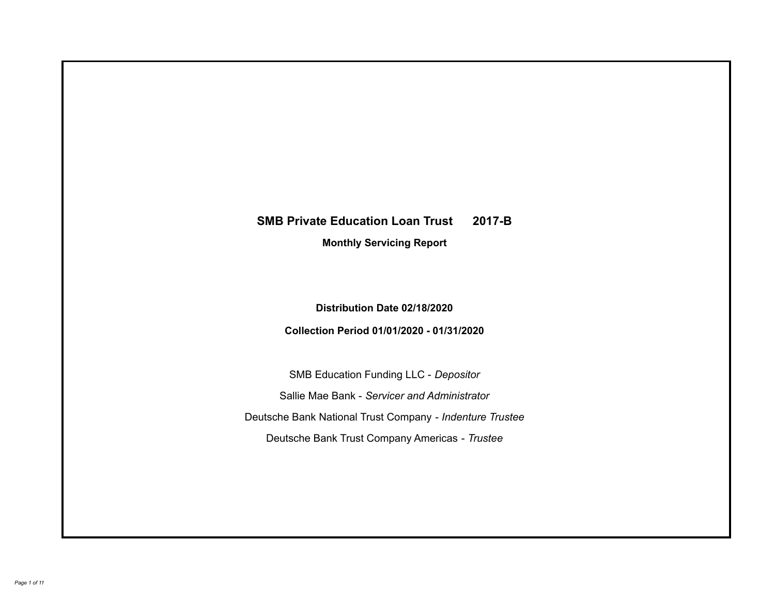# **SMB Private Education Loan Trust 2017-B Monthly Servicing Report**

**Distribution Date 02/18/2020**

**Collection Period 01/01/2020 - 01/31/2020**

SMB Education Funding LLC - *Depositor* Sallie Mae Bank - *Servicer and Administrator* Deutsche Bank National Trust Company - *Indenture Trustee* Deutsche Bank Trust Company Americas - *Trustee*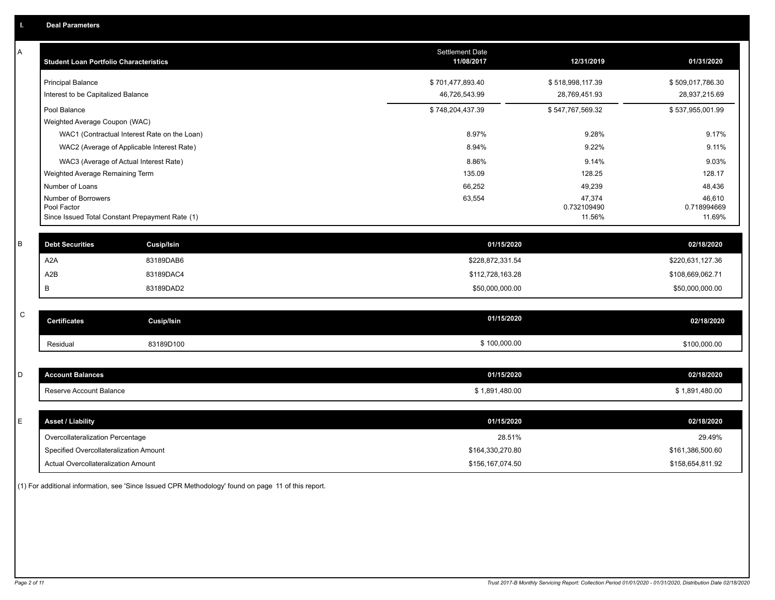| А           | <b>Student Loan Portfolio Characteristics</b>                  | <b>Settlement Date</b><br>11/08/2017 | 12/31/2019            | 01/31/2020            |
|-------------|----------------------------------------------------------------|--------------------------------------|-----------------------|-----------------------|
|             | <b>Principal Balance</b>                                       | \$701,477,893.40                     | \$518,998,117.39      | \$509,017,786.30      |
|             | Interest to be Capitalized Balance                             | 46,726,543.99                        | 28,769,451.93         | 28,937,215.69         |
|             | Pool Balance                                                   | \$748,204,437.39                     | \$547,767,569.32      | \$537,955,001.99      |
|             | Weighted Average Coupon (WAC)                                  |                                      |                       |                       |
|             | WAC1 (Contractual Interest Rate on the Loan)                   | 8.97%                                | 9.28%                 | 9.17%                 |
|             | WAC2 (Average of Applicable Interest Rate)                     | 8.94%                                | 9.22%                 | 9.11%                 |
|             | WAC3 (Average of Actual Interest Rate)                         | 8.86%                                | 9.14%                 | 9.03%                 |
|             | Weighted Average Remaining Term                                | 135.09                               | 128.25                | 128.17                |
|             | Number of Loans                                                | 66,252                               | 49,239                | 48,436                |
|             | Number of Borrowers                                            | 63,554                               | 47,374                | 46,610                |
|             | Pool Factor<br>Since Issued Total Constant Prepayment Rate (1) |                                      | 0.732109490<br>11.56% | 0.718994669<br>11.69% |
|             |                                                                |                                      |                       |                       |
| B           | <b>Debt Securities</b><br><b>Cusip/Isin</b>                    | 01/15/2020                           |                       | 02/18/2020            |
|             | A <sub>2</sub> A<br>83189DAB6                                  | \$228,872,331.54                     |                       | \$220,631,127.36      |
|             | A2B<br>83189DAC4                                               | \$112,728,163.28                     |                       | \$108,669,062.71      |
|             | B<br>83189DAD2                                                 | \$50,000,000.00                      |                       | \$50,000,000.00       |
|             |                                                                |                                      |                       |                       |
| $\mathsf C$ | <b>Certificates</b><br>Cusip/Isin                              | 01/15/2020                           |                       | 02/18/2020            |
|             | 83189D100<br>Residual                                          | \$100,000.00                         |                       | \$100,000.00          |
|             |                                                                |                                      |                       |                       |
| D           | <b>Account Balances</b>                                        | 01/15/2020                           |                       | 02/18/2020            |
|             | Reserve Account Balance                                        | \$1,891,480.00                       |                       | \$1,891,480.00        |
|             |                                                                |                                      |                       |                       |
| E           | <b>Asset / Liability</b>                                       | 01/15/2020                           |                       | 02/18/2020            |
|             | Overcollateralization Percentage                               | 28.51%                               |                       | 29.49%                |
|             | Specified Overcollateralization Amount                         | \$164,330,270.80                     |                       | \$161,386,500.60      |
|             | Actual Overcollateralization Amount                            | \$156,167,074.50                     |                       | \$158,654,811.92      |

(1) For additional information, see 'Since Issued CPR Methodology' found on page 11 of this report.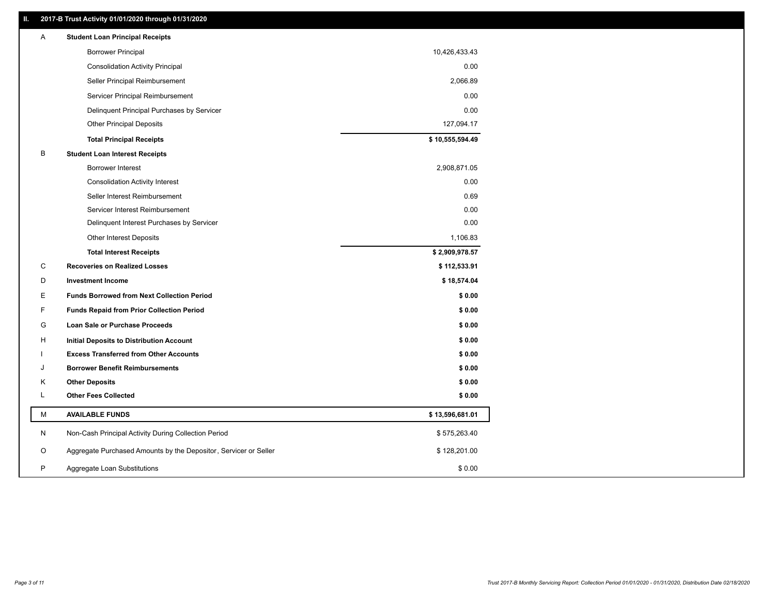# **II. 2017-B Trust Activity 01/01/2020 through 01/31/2020**

| Α | <b>Student Loan Principal Receipts</b>                           |                 |
|---|------------------------------------------------------------------|-----------------|
|   | <b>Borrower Principal</b>                                        | 10,426,433.43   |
|   | <b>Consolidation Activity Principal</b>                          | 0.00            |
|   | Seller Principal Reimbursement                                   | 2,066.89        |
|   | Servicer Principal Reimbursement                                 | 0.00            |
|   | Delinquent Principal Purchases by Servicer                       | 0.00            |
|   | <b>Other Principal Deposits</b>                                  | 127,094.17      |
|   | <b>Total Principal Receipts</b>                                  | \$10,555,594.49 |
| B | <b>Student Loan Interest Receipts</b>                            |                 |
|   | <b>Borrower Interest</b>                                         | 2,908,871.05    |
|   | <b>Consolidation Activity Interest</b>                           | 0.00            |
|   | Seller Interest Reimbursement                                    | 0.69            |
|   | Servicer Interest Reimbursement                                  | 0.00            |
|   | Delinquent Interest Purchases by Servicer                        | 0.00            |
|   | Other Interest Deposits                                          | 1,106.83        |
|   | <b>Total Interest Receipts</b>                                   | \$2,909,978.57  |
| С | <b>Recoveries on Realized Losses</b>                             | \$112,533.91    |
| D | <b>Investment Income</b>                                         | \$18,574.04     |
| Е | <b>Funds Borrowed from Next Collection Period</b>                | \$0.00          |
| F | <b>Funds Repaid from Prior Collection Period</b>                 | \$0.00          |
| G | Loan Sale or Purchase Proceeds                                   | \$0.00          |
| н | Initial Deposits to Distribution Account                         | \$0.00          |
|   | <b>Excess Transferred from Other Accounts</b>                    | \$0.00          |
| J | <b>Borrower Benefit Reimbursements</b>                           | \$0.00          |
| Κ | <b>Other Deposits</b>                                            | \$0.00          |
| L | <b>Other Fees Collected</b>                                      | \$0.00          |
| М | <b>AVAILABLE FUNDS</b>                                           | \$13,596,681.01 |
| N | Non-Cash Principal Activity During Collection Period             | \$575,263.40    |
| O | Aggregate Purchased Amounts by the Depositor, Servicer or Seller | \$128,201.00    |
| P | Aggregate Loan Substitutions                                     | \$0.00          |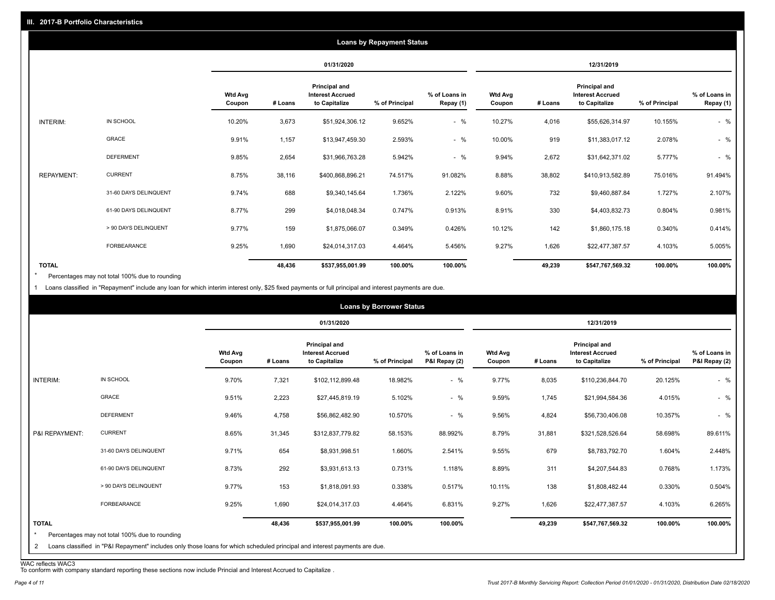|                   |                       |                          |            |                                                           | <b>Loans by Repayment Status</b> |                            |                   |         |                                                           |                |                            |
|-------------------|-----------------------|--------------------------|------------|-----------------------------------------------------------|----------------------------------|----------------------------|-------------------|---------|-----------------------------------------------------------|----------------|----------------------------|
|                   |                       |                          | 01/31/2020 |                                                           |                                  |                            | 12/31/2019        |         |                                                           |                |                            |
|                   |                       | <b>Wtd Avg</b><br>Coupon | # Loans    | Principal and<br><b>Interest Accrued</b><br>to Capitalize | % of Principal                   | % of Loans in<br>Repay (1) | Wtd Avg<br>Coupon | # Loans | Principal and<br><b>Interest Accrued</b><br>to Capitalize | % of Principal | % of Loans in<br>Repay (1) |
| INTERIM:          | IN SCHOOL             | 10.20%                   | 3,673      | \$51,924,306.12                                           | 9.652%                           | $-$ %                      | 10.27%            | 4,016   | \$55,626,314.97                                           | 10.155%        | $-$ %                      |
|                   | <b>GRACE</b>          | 9.91%                    | 1,157      | \$13,947,459.30                                           | 2.593%                           | $-$ %                      | 10.00%            | 919     | \$11,383,017.12                                           | 2.078%         | $-$ %                      |
|                   | <b>DEFERMENT</b>      | 9.85%                    | 2,654      | \$31,966,763.28                                           | 5.942%                           | $-$ %                      | 9.94%             | 2,672   | \$31,642,371.02                                           | 5.777%         | $-$ %                      |
| <b>REPAYMENT:</b> | <b>CURRENT</b>        | 8.75%                    | 38,116     | \$400,868,896.21                                          | 74.517%                          | 91.082%                    | 8.88%             | 38,802  | \$410,913,582.89                                          | 75.016%        | 91.494%                    |
|                   | 31-60 DAYS DELINQUENT | 9.74%                    | 688        | \$9,340,145.64                                            | 1.736%                           | 2.122%                     | 9.60%             | 732     | \$9,460,887.84                                            | 1.727%         | 2.107%                     |
|                   | 61-90 DAYS DELINQUENT | 8.77%                    | 299        | \$4,018,048.34                                            | 0.747%                           | 0.913%                     | 8.91%             | 330     | \$4,403,832.73                                            | 0.804%         | 0.981%                     |
|                   | > 90 DAYS DELINQUENT  | 9.77%                    | 159        | \$1,875,066.07                                            | 0.349%                           | 0.426%                     | 10.12%            | 142     | \$1,860,175.18                                            | 0.340%         | 0.414%                     |
|                   | FORBEARANCE           | 9.25%                    | 1,690      | \$24,014,317.03                                           | 4.464%                           | 5.456%                     | 9.27%             | 1,626   | \$22,477,387.57                                           | 4.103%         | 5.005%                     |
| <b>TOTAL</b>      |                       |                          | 48,436     | \$537,955,001.99                                          | 100.00%                          | 100.00%                    |                   | 49,239  | \$547,767,569.32                                          | 100.00%        | 100.00%                    |

Percentages may not total 100% due to rounding \*

1 Loans classified in "Repayment" include any loan for which interim interest only, \$25 fixed payments or full principal and interest payments are due.

|                              |                                                                                                                                                                              |                          |         |                                                                  | <b>Loans by Borrower Status</b> |                                |                          |         |                                                                  |                |                                |
|------------------------------|------------------------------------------------------------------------------------------------------------------------------------------------------------------------------|--------------------------|---------|------------------------------------------------------------------|---------------------------------|--------------------------------|--------------------------|---------|------------------------------------------------------------------|----------------|--------------------------------|
|                              |                                                                                                                                                                              |                          |         | 01/31/2020                                                       |                                 |                                |                          |         | 12/31/2019                                                       |                |                                |
|                              |                                                                                                                                                                              | <b>Wtd Avg</b><br>Coupon | # Loans | <b>Principal and</b><br><b>Interest Accrued</b><br>to Capitalize | % of Principal                  | % of Loans in<br>P&I Repay (2) | <b>Wtd Avg</b><br>Coupon | # Loans | <b>Principal and</b><br><b>Interest Accrued</b><br>to Capitalize | % of Principal | % of Loans in<br>P&I Repay (2) |
| INTERIM:                     | IN SCHOOL                                                                                                                                                                    | 9.70%                    | 7,321   | \$102,112,899.48                                                 | 18.982%                         | $-$ %                          | 9.77%                    | 8,035   | \$110,236,844.70                                                 | 20.125%        | $-$ %                          |
|                              | GRACE                                                                                                                                                                        | 9.51%                    | 2,223   | \$27,445,819.19                                                  | 5.102%                          | $-$ %                          | 9.59%                    | 1,745   | \$21,994,584.36                                                  | 4.015%         | $-$ %                          |
|                              | <b>DEFERMENT</b>                                                                                                                                                             | 9.46%                    | 4,758   | \$56,862,482.90                                                  | 10.570%                         | $-$ %                          | 9.56%                    | 4,824   | \$56,730,406.08                                                  | 10.357%        | $-$ %                          |
| P&I REPAYMENT:               | <b>CURRENT</b>                                                                                                                                                               | 8.65%                    | 31,345  | \$312,837,779.82                                                 | 58.153%                         | 88.992%                        | 8.79%                    | 31,881  | \$321,528,526.64                                                 | 58.698%        | 89.611%                        |
|                              | 31-60 DAYS DELINQUENT                                                                                                                                                        | 9.71%                    | 654     | \$8,931,998.51                                                   | 1.660%                          | 2.541%                         | 9.55%                    | 679     | \$8,783,792.70                                                   | 1.604%         | 2.448%                         |
|                              | 61-90 DAYS DELINQUENT                                                                                                                                                        | 8.73%                    | 292     | \$3,931,613.13                                                   | 0.731%                          | 1.118%                         | 8.89%                    | 311     | \$4,207,544.83                                                   | 0.768%         | 1.173%                         |
|                              | > 90 DAYS DELINQUENT                                                                                                                                                         | 9.77%                    | 153     | \$1,818,091.93                                                   | 0.338%                          | 0.517%                         | 10.11%                   | 138     | \$1,808,482.44                                                   | 0.330%         | 0.504%                         |
|                              | FORBEARANCE                                                                                                                                                                  | 9.25%                    | 1,690   | \$24,014,317.03                                                  | 4.464%                          | 6.831%                         | 9.27%                    | 1,626   | \$22,477,387.57                                                  | 4.103%         | 6.265%                         |
| <b>TOTAL</b><br>$\star$<br>2 | Percentages may not total 100% due to rounding<br>Loans classified in "P&I Repayment" includes only those loans for which scheduled principal and interest payments are due. |                          | 48,436  | \$537,955,001.99                                                 | 100.00%                         | 100.00%                        |                          | 49,239  | \$547,767,569.32                                                 | 100.00%        | 100.00%                        |

WAC reflects WAC3 To conform with company standard reporting these sections now include Princial and Interest Accrued to Capitalize .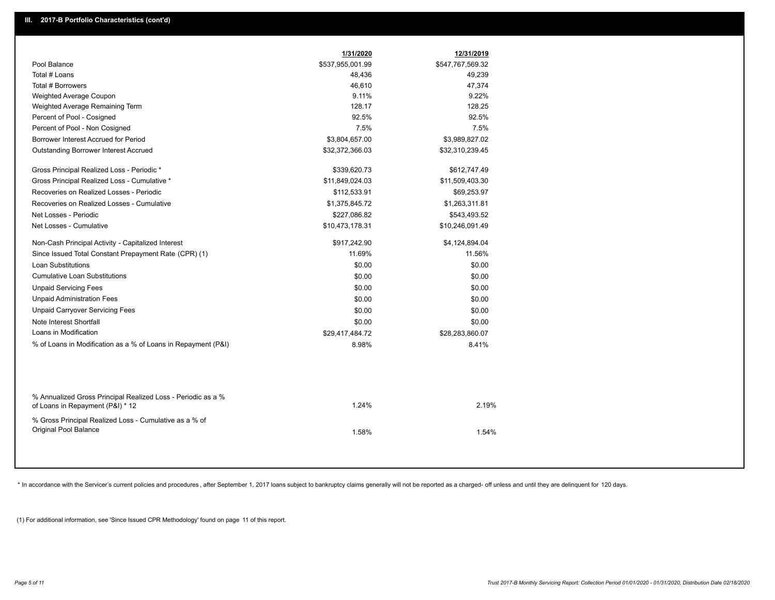|                                                                                                  | 1/31/2020        | 12/31/2019       |  |
|--------------------------------------------------------------------------------------------------|------------------|------------------|--|
| Pool Balance                                                                                     | \$537,955,001.99 | \$547,767,569.32 |  |
| Total # Loans                                                                                    | 48,436           | 49,239           |  |
| Total # Borrowers                                                                                | 46,610           | 47,374           |  |
| Weighted Average Coupon                                                                          | 9.11%            | 9.22%            |  |
| Weighted Average Remaining Term                                                                  | 128.17           | 128.25           |  |
| Percent of Pool - Cosigned                                                                       | 92.5%            | 92.5%            |  |
| Percent of Pool - Non Cosigned                                                                   | 7.5%             | 7.5%             |  |
| Borrower Interest Accrued for Period                                                             | \$3,804,657.00   | \$3,989,827.02   |  |
| Outstanding Borrower Interest Accrued                                                            | \$32,372,366.03  | \$32,310,239.45  |  |
| Gross Principal Realized Loss - Periodic *                                                       | \$339,620.73     | \$612,747.49     |  |
| Gross Principal Realized Loss - Cumulative *                                                     | \$11,849,024.03  | \$11,509,403.30  |  |
| Recoveries on Realized Losses - Periodic                                                         | \$112,533.91     | \$69,253.97      |  |
| Recoveries on Realized Losses - Cumulative                                                       | \$1,375,845.72   | \$1,263,311.81   |  |
| Net Losses - Periodic                                                                            | \$227,086.82     | \$543,493.52     |  |
| Net Losses - Cumulative                                                                          | \$10,473,178.31  | \$10,246,091.49  |  |
| Non-Cash Principal Activity - Capitalized Interest                                               | \$917,242.90     | \$4,124,894.04   |  |
| Since Issued Total Constant Prepayment Rate (CPR) (1)                                            | 11.69%           | 11.56%           |  |
| <b>Loan Substitutions</b>                                                                        | \$0.00           | \$0.00           |  |
| <b>Cumulative Loan Substitutions</b>                                                             | \$0.00           | \$0.00           |  |
| <b>Unpaid Servicing Fees</b>                                                                     | \$0.00           | \$0.00           |  |
| <b>Unpaid Administration Fees</b>                                                                | \$0.00           | \$0.00           |  |
| <b>Unpaid Carryover Servicing Fees</b>                                                           | \$0.00           | \$0.00           |  |
| Note Interest Shortfall                                                                          | \$0.00           | \$0.00           |  |
| Loans in Modification                                                                            | \$29,417,484.72  | \$28,283,860.07  |  |
| % of Loans in Modification as a % of Loans in Repayment (P&I)                                    | 8.98%            | 8.41%            |  |
|                                                                                                  |                  |                  |  |
| % Annualized Gross Principal Realized Loss - Periodic as a %<br>of Loans in Repayment (P&I) * 12 | 1.24%            | 2.19%            |  |
| % Gross Principal Realized Loss - Cumulative as a % of<br><b>Original Pool Balance</b>           | 1.58%            | 1.54%            |  |
|                                                                                                  |                  |                  |  |

\* In accordance with the Servicer's current policies and procedures, after September 1, 2017 loans subject to bankruptcy claims generally will not be reported as a charged- off unless and until they are delinquent for 120

(1) For additional information, see 'Since Issued CPR Methodology' found on page 11 of this report.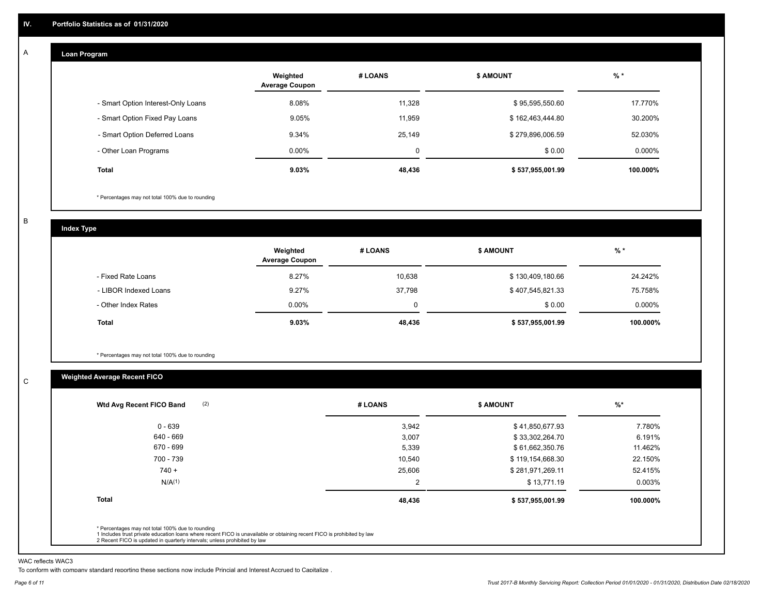#### **Loan Program**  A

|                                    | Weighted<br><b>Average Coupon</b> | # LOANS  | <b>\$ AMOUNT</b> | $%$ *     |
|------------------------------------|-----------------------------------|----------|------------------|-----------|
| - Smart Option Interest-Only Loans | 8.08%                             | 11,328   | \$95,595,550.60  | 17.770%   |
| - Smart Option Fixed Pay Loans     | 9.05%                             | 11.959   | \$162,463,444.80 | 30.200%   |
| - Smart Option Deferred Loans      | 9.34%                             | 25,149   | \$279,896,006.59 | 52.030%   |
| - Other Loan Programs              | $0.00\%$                          | $\Omega$ | \$0.00           | $0.000\%$ |
| <b>Total</b>                       | 9.03%                             | 48,436   | \$537,955,001.99 | 100.000%  |

\* Percentages may not total 100% due to rounding

B

C

**Index Type**

|                       | Weighted<br><b>Average Coupon</b> | # LOANS | <b>\$ AMOUNT</b> | $%$ *    |
|-----------------------|-----------------------------------|---------|------------------|----------|
| - Fixed Rate Loans    | 8.27%                             | 10,638  | \$130,409,180.66 | 24.242%  |
| - LIBOR Indexed Loans | 9.27%                             | 37,798  | \$407,545,821.33 | 75.758%  |
| - Other Index Rates   | $0.00\%$                          |         | \$0.00           | 0.000%   |
| <b>Total</b>          | 9.03%                             | 48,436  | \$537,955,001.99 | 100.000% |

\* Percentages may not total 100% due to rounding

# **Weighted Average Recent FICO**

| 3,942<br>3,007<br>5,339<br>10,540 | \$41,850,677.93<br>\$33,302,264.70<br>\$61,662,350.76<br>\$119,154,668.30 | 7.780%<br>6.191%<br>11.462% |
|-----------------------------------|---------------------------------------------------------------------------|-----------------------------|
|                                   |                                                                           |                             |
|                                   |                                                                           |                             |
|                                   |                                                                           |                             |
|                                   |                                                                           | 22.150%                     |
| 25,606                            | \$281,971,269.11                                                          | 52.415%                     |
| 2                                 | \$13,771.19                                                               | $0.003\%$                   |
| 48,436                            | \$537,955,001.99                                                          | 100.000%                    |
|                                   |                                                                           |                             |

WAC reflects WAC3

To conform with company standard reporting these sections now include Princial and Interest Accrued to Capitalize .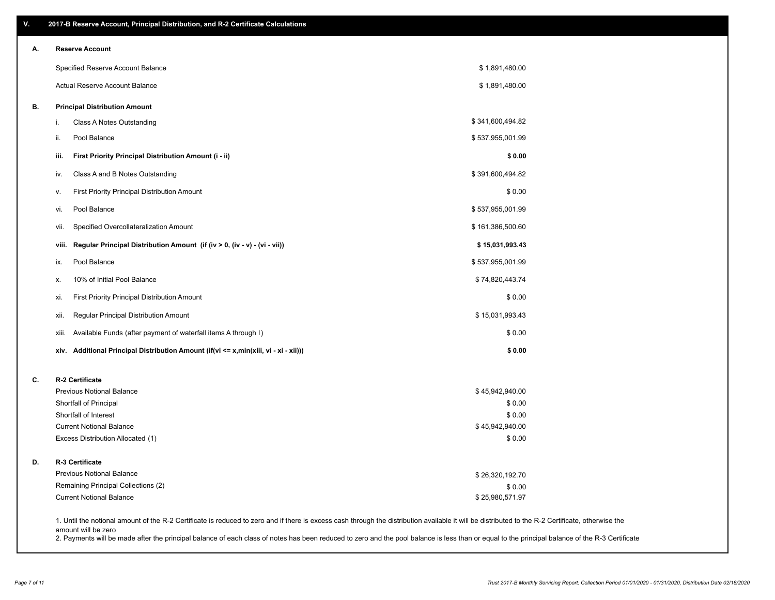| А. | <b>Reserve Account</b>                                                               |                           |  |
|----|--------------------------------------------------------------------------------------|---------------------------|--|
|    | Specified Reserve Account Balance                                                    | \$1,891,480.00            |  |
|    | Actual Reserve Account Balance                                                       | \$1,891,480.00            |  |
| В. | <b>Principal Distribution Amount</b>                                                 |                           |  |
|    | Class A Notes Outstanding<br>i.                                                      | \$341,600,494.82          |  |
|    | Pool Balance<br>ii.                                                                  | \$537,955,001.99          |  |
|    | First Priority Principal Distribution Amount (i - ii)<br>iii.                        | \$0.00                    |  |
|    | Class A and B Notes Outstanding<br>iv.                                               | \$391,600,494.82          |  |
|    | <b>First Priority Principal Distribution Amount</b><br>v.                            | \$0.00                    |  |
|    | Pool Balance<br>vi.                                                                  | \$537,955,001.99          |  |
|    | Specified Overcollateralization Amount<br>VII.                                       | \$161,386,500.60          |  |
|    | Regular Principal Distribution Amount (if (iv > 0, (iv - v) - (vi - vii))<br>viii.   | \$15,031,993.43           |  |
|    | Pool Balance<br>ix.                                                                  | \$537,955,001.99          |  |
|    | 10% of Initial Pool Balance<br>х.                                                    | \$74,820,443.74           |  |
|    | First Priority Principal Distribution Amount<br>xi.                                  | \$0.00                    |  |
|    | Regular Principal Distribution Amount<br>xii.                                        | \$15,031,993.43           |  |
|    | Available Funds (after payment of waterfall items A through I)<br>xiii.              | \$0.00                    |  |
|    | xiv. Additional Principal Distribution Amount (if(vi <= x,min(xiii, vi - xi - xii))) | \$0.00                    |  |
| C. | R-2 Certificate                                                                      |                           |  |
|    | <b>Previous Notional Balance</b>                                                     | \$45,942,940.00           |  |
|    | Shortfall of Principal                                                               | \$0.00                    |  |
|    | Shortfall of Interest<br><b>Current Notional Balance</b>                             | \$0.00<br>\$45,942,940.00 |  |
|    | Excess Distribution Allocated (1)                                                    | \$0.00                    |  |
| D. | R-3 Certificate                                                                      |                           |  |
|    | <b>Previous Notional Balance</b>                                                     | \$26,320,192.70           |  |
|    | Remaining Principal Collections (2)                                                  | \$0.00                    |  |
|    | <b>Current Notional Balance</b>                                                      | \$25,980,571.97           |  |

amount will be zero

2. Payments will be made after the principal balance of each class of notes has been reduced to zero and the pool balance is less than or equal to the principal balance of the R-3 Certificate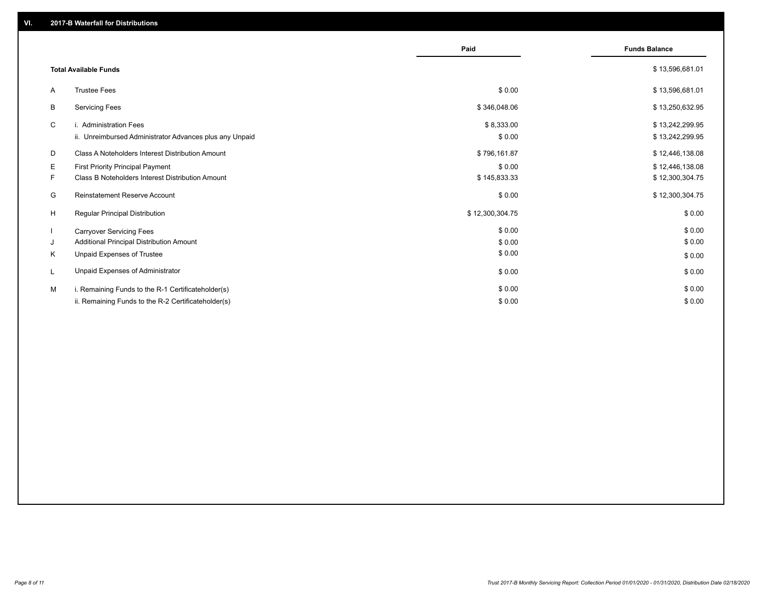|    |                                                         | Paid            | <b>Funds Balance</b> |
|----|---------------------------------------------------------|-----------------|----------------------|
|    | <b>Total Available Funds</b>                            |                 | \$13,596,681.01      |
| A  | <b>Trustee Fees</b>                                     | \$0.00          | \$13,596,681.01      |
| B  | <b>Servicing Fees</b>                                   | \$346,048.06    | \$13,250,632.95      |
| C  | i. Administration Fees                                  | \$8,333.00      | \$13,242,299.95      |
|    | ii. Unreimbursed Administrator Advances plus any Unpaid | \$0.00          | \$13,242,299.95      |
| D  | Class A Noteholders Interest Distribution Amount        | \$796,161.87    | \$12,446,138.08      |
| E. | First Priority Principal Payment                        | \$0.00          | \$12,446,138.08      |
| F. | Class B Noteholders Interest Distribution Amount        | \$145,833.33    | \$12,300,304.75      |
| G  | Reinstatement Reserve Account                           | \$0.00          | \$12,300,304.75      |
| H  | <b>Regular Principal Distribution</b>                   | \$12,300,304.75 | \$0.00               |
|    | <b>Carryover Servicing Fees</b>                         | \$0.00          | \$0.00               |
| J  | Additional Principal Distribution Amount                | \$0.00          | \$0.00               |
| K  | Unpaid Expenses of Trustee                              | \$0.00          | \$0.00               |
|    | Unpaid Expenses of Administrator                        | \$0.00          | \$0.00               |
| M  | i. Remaining Funds to the R-1 Certificateholder(s)      | \$0.00          | \$0.00               |
|    | ii. Remaining Funds to the R-2 Certificateholder(s)     | \$0.00          | \$0.00               |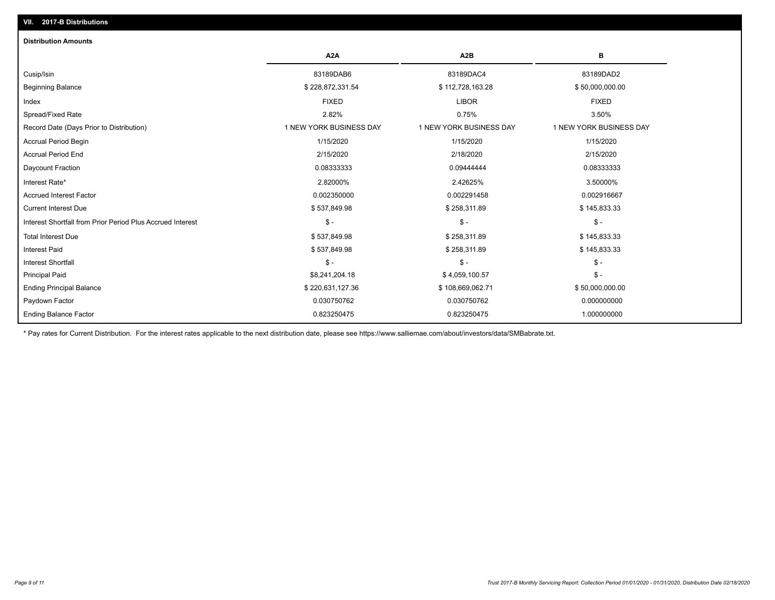| <b>Distribution Amounts</b>                                |                         |                         |                         |
|------------------------------------------------------------|-------------------------|-------------------------|-------------------------|
|                                                            | A <sub>2</sub> A        | A <sub>2</sub> B        | в                       |
| Cusip/Isin                                                 | 83189DAB6               | 83189DAC4               | 83189DAD2               |
| <b>Beginning Balance</b>                                   | \$228,872,331.54        | \$112,728,163.28        | \$50,000,000.00         |
| Index                                                      | <b>FIXED</b>            | <b>LIBOR</b>            | <b>FIXED</b>            |
| Spread/Fixed Rate                                          | 2.82%                   | 0.75%                   | 3.50%                   |
| Record Date (Days Prior to Distribution)                   | 1 NEW YORK BUSINESS DAY | 1 NEW YORK BUSINESS DAY | 1 NEW YORK BUSINESS DAY |
| <b>Accrual Period Begin</b>                                | 1/15/2020               | 1/15/2020               | 1/15/2020               |
| <b>Accrual Period End</b>                                  | 2/15/2020               | 2/18/2020               | 2/15/2020               |
| Daycount Fraction                                          | 0.08333333              | 0.09444444              | 0.08333333              |
| Interest Rate*                                             | 2.82000%                | 2.42625%                | 3.50000%                |
| <b>Accrued Interest Factor</b>                             | 0.002350000             | 0.002291458             | 0.002916667             |
| <b>Current Interest Due</b>                                | \$537,849.98            | \$258,311.89            | \$145,833.33            |
| Interest Shortfall from Prior Period Plus Accrued Interest | $\mathcal{S}$ -         | $\mathcal{S}$ -         | $$ -$                   |
| <b>Total Interest Due</b>                                  | \$537,849.98            | \$258,311.89            | \$145,833.33            |
| <b>Interest Paid</b>                                       | \$537,849.98            | \$258,311.89            | \$145,833.33            |
| <b>Interest Shortfall</b>                                  | $\mathsf{\$}$ -         | $\mathcal{S}$ -         | $$ -$                   |
| <b>Principal Paid</b>                                      | \$8,241,204.18          | \$4,059,100.57          | $$ -$                   |
| <b>Ending Principal Balance</b>                            | \$220,631,127.36        | \$108,669,062.71        | \$50,000,000.00         |
| Paydown Factor                                             | 0.030750762             | 0.030750762             | 0.000000000             |
| <b>Ending Balance Factor</b>                               | 0.823250475             | 0.823250475             | 1.000000000             |

\* Pay rates for Current Distribution. For the interest rates applicable to the next distribution date, please see https://www.salliemae.com/about/investors/data/SMBabrate.txt.

**VII. 2017-B Distributions**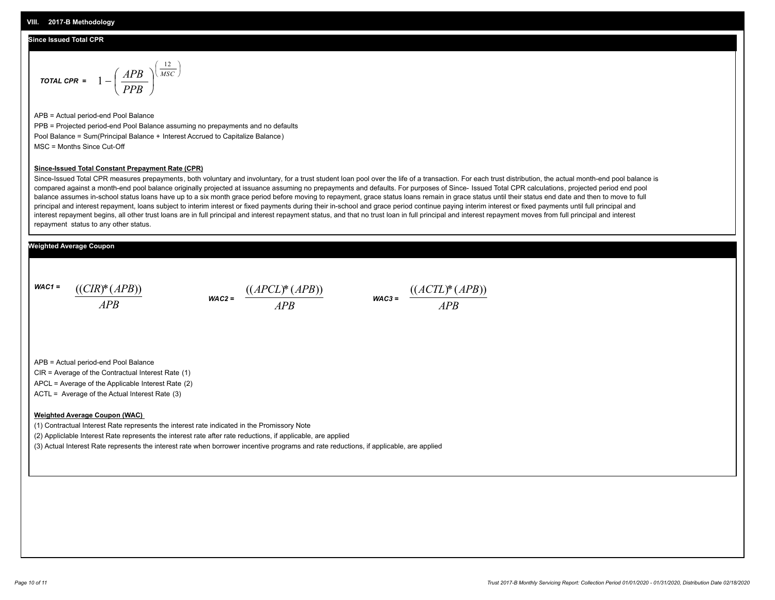#### **Since Issued Total CPR**

$$
\text{total CPR} = 1 - \left(\frac{APB}{PPB}\right)^{\left(\frac{12}{MSC}\right)}
$$

APB = Actual period-end Pool Balance PPB = Projected period-end Pool Balance assuming no prepayments and no defaults Pool Balance = Sum(Principal Balance + Interest Accrued to Capitalize Balance) MSC = Months Since Cut-Off

#### **Since-Issued Total Constant Prepayment Rate (CPR)**

Since-Issued Total CPR measures prepayments, both voluntary and involuntary, for a trust student loan pool over the life of a transaction. For each trust distribution, the actual month-end pool balance is compared against a month-end pool balance originally projected at issuance assuming no prepayments and defaults. For purposes of Since- Issued Total CPR calculations, projected period end pool balance assumes in-school status loans have up to a six month grace period before moving to repayment, grace status loans remain in grace status until their status end date and then to move to full principal and interest repayment, loans subject to interim interest or fixed payments during their in-school and grace period continue paying interim interest or fixed payments until full principal and interest repayment begins, all other trust loans are in full principal and interest repayment status, and that no trust loan in full principal and interest repayment moves from full principal and interest repayment status to any other status.

### **Weighted Average Coupon**

*WAC1 = APB* ((*CIR*)\*(*APB*))

*WAC2 = APB*  $\frac{((APCL)^{*}(APB))}{APB}$  wac<sub>3</sub> =  $\frac{((ACTL)^{*}(A)P}{APB}$ 



APB = Actual period-end Pool Balance

CIR = Average of the Contractual Interest Rate (1)

APCL = Average of the Applicable Interest Rate (2)

ACTL = Average of the Actual Interest Rate (3)

#### **Weighted Average Coupon (WAC)**

(1) Contractual Interest Rate represents the interest rate indicated in the Promissory Note

(2) Appliclable Interest Rate represents the interest rate after rate reductions, if applicable, are applied

(3) Actual Interest Rate represents the interest rate when borrower incentive programs and rate reductions, if applicable, are applied